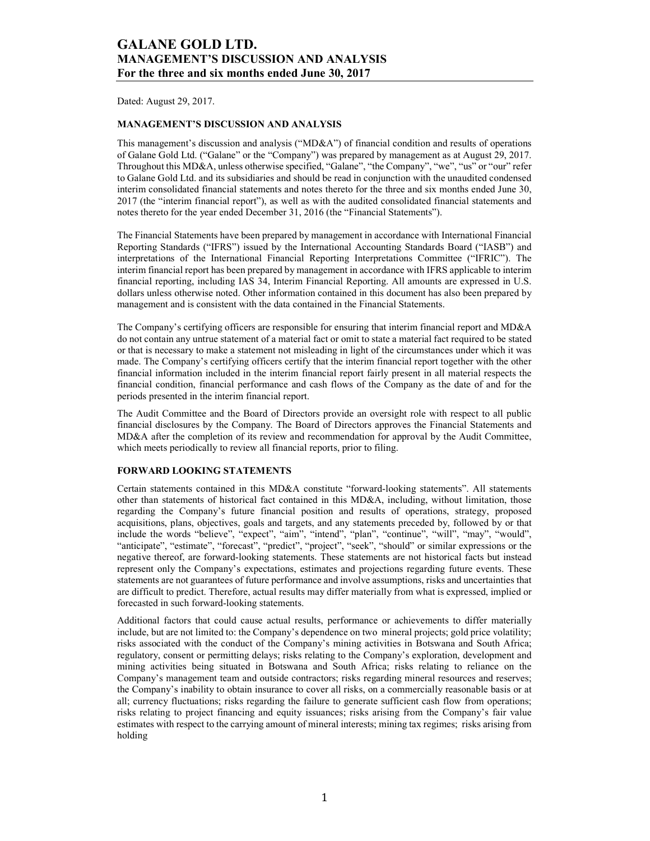Dated: August 29, 2017.

## MANAGEMENT'S DISCUSSION AND ANALYSIS

This management's discussion and analysis ("MD&A") of financial condition and results of operations of Galane Gold Ltd. ("Galane" or the "Company") was prepared by management as at August 29, 2017. Throughout this MD&A, unless otherwise specified, "Galane", "the Company", "we", "us" or "our" refer to Galane Gold Ltd. and its subsidiaries and should be read in conjunction with the unaudited condensed interim consolidated financial statements and notes thereto for the three and six months ended June 30, 2017 (the "interim financial report"), as well as with the audited consolidated financial statements and notes thereto for the year ended December 31, 2016 (the "Financial Statements").

The Financial Statements have been prepared by management in accordance with International Financial Reporting Standards ("IFRS") issued by the International Accounting Standards Board ("IASB") and interpretations of the International Financial Reporting Interpretations Committee ("IFRIC"). The interim financial report has been prepared by management in accordance with IFRS applicable to interim financial reporting, including IAS 34, Interim Financial Reporting. All amounts are expressed in U.S. dollars unless otherwise noted. Other information contained in this document has also been prepared by management and is consistent with the data contained in the Financial Statements.

The Company's certifying officers are responsible for ensuring that interim financial report and MD&A do not contain any untrue statement of a material fact or omit to state a material fact required to be stated or that is necessary to make a statement not misleading in light of the circumstances under which it was made. The Company's certifying officers certify that the interim financial report together with the other financial information included in the interim financial report fairly present in all material respects the financial condition, financial performance and cash flows of the Company as the date of and for the periods presented in the interim financial report.

The Audit Committee and the Board of Directors provide an oversight role with respect to all public financial disclosures by the Company. The Board of Directors approves the Financial Statements and MD&A after the completion of its review and recommendation for approval by the Audit Committee, which meets periodically to review all financial reports, prior to filing.

### FORWARD LOOKING STATEMENTS

Certain statements contained in this MD&A constitute "forward-looking statements". All statements other than statements of historical fact contained in this MD&A, including, without limitation, those regarding the Company's future financial position and results of operations, strategy, proposed acquisitions, plans, objectives, goals and targets, and any statements preceded by, followed by or that include the words "believe", "expect", "aim", "intend", "plan", "continue", "will", "may", "would", "anticipate", "estimate", "forecast", "predict", "project", "seek", "should" or similar expressions or the negative thereof, are forward-looking statements. These statements are not historical facts but instead represent only the Company's expectations, estimates and projections regarding future events. These statements are not guarantees of future performance and involve assumptions, risks and uncertainties that are difficult to predict. Therefore, actual results may differ materially from what is expressed, implied or forecasted in such forward-looking statements.

Additional factors that could cause actual results, performance or achievements to differ materially include, but are not limited to: the Company's dependence on two mineral projects; gold price volatility; risks associated with the conduct of the Company's mining activities in Botswana and South Africa; regulatory, consent or permitting delays; risks relating to the Company's exploration, development and mining activities being situated in Botswana and South Africa; risks relating to reliance on the Company's management team and outside contractors; risks regarding mineral resources and reserves; the Company's inability to obtain insurance to cover all risks, on a commercially reasonable basis or at all; currency fluctuations; risks regarding the failure to generate sufficient cash flow from operations; risks relating to project financing and equity issuances; risks arising from the Company's fair value estimates with respect to the carrying amount of mineral interests; mining tax regimes; risks arising from holding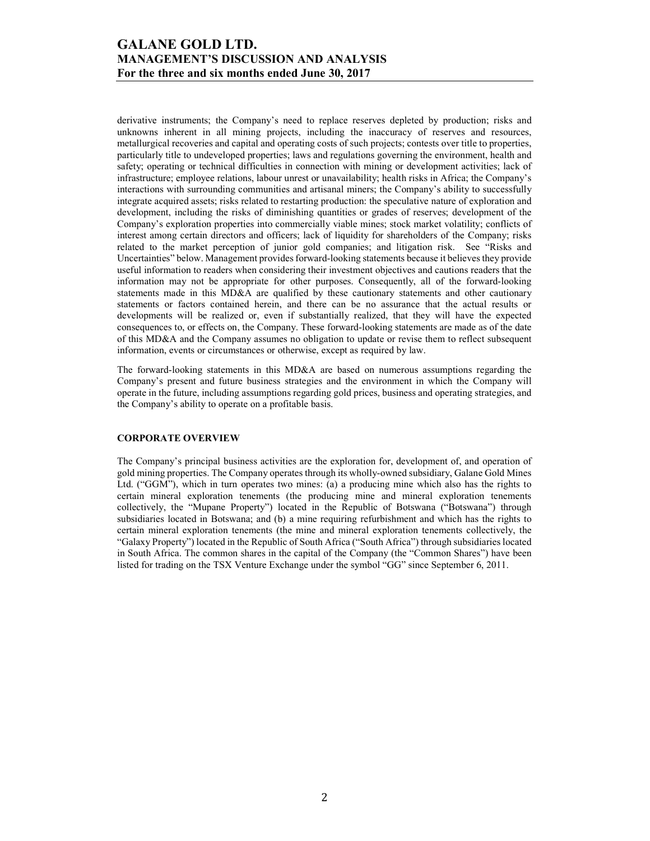derivative instruments; the Company's need to replace reserves depleted by production; risks and unknowns inherent in all mining projects, including the inaccuracy of reserves and resources, metallurgical recoveries and capital and operating costs of such projects; contests over title to properties, particularly title to undeveloped properties; laws and regulations governing the environment, health and safety; operating or technical difficulties in connection with mining or development activities; lack of infrastructure; employee relations, labour unrest or unavailability; health risks in Africa; the Company's interactions with surrounding communities and artisanal miners; the Company's ability to successfully integrate acquired assets; risks related to restarting production: the speculative nature of exploration and development, including the risks of diminishing quantities or grades of reserves; development of the Company's exploration properties into commercially viable mines; stock market volatility; conflicts of interest among certain directors and officers; lack of liquidity for shareholders of the Company; risks related to the market perception of junior gold companies; and litigation risk. See "Risks and Uncertainties" below. Management provides forward-looking statements because it believes they provide useful information to readers when considering their investment objectives and cautions readers that the information may not be appropriate for other purposes. Consequently, all of the forward-looking statements made in this MD&A are qualified by these cautionary statements and other cautionary statements or factors contained herein, and there can be no assurance that the actual results or developments will be realized or, even if substantially realized, that they will have the expected consequences to, or effects on, the Company. These forward-looking statements are made as of the date of this MD&A and the Company assumes no obligation to update or revise them to reflect subsequent information, events or circumstances or otherwise, except as required by law.

The forward-looking statements in this MD&A are based on numerous assumptions regarding the Company's present and future business strategies and the environment in which the Company will operate in the future, including assumptions regarding gold prices, business and operating strategies, and the Company's ability to operate on a profitable basis.

#### CORPORATE OVERVIEW

The Company's principal business activities are the exploration for, development of, and operation of gold mining properties. The Company operates through its wholly-owned subsidiary, Galane Gold Mines Ltd. ("GGM"), which in turn operates two mines: (a) a producing mine which also has the rights to certain mineral exploration tenements (the producing mine and mineral exploration tenements collectively, the "Mupane Property") located in the Republic of Botswana ("Botswana") through subsidiaries located in Botswana; and (b) a mine requiring refurbishment and which has the rights to certain mineral exploration tenements (the mine and mineral exploration tenements collectively, the "Galaxy Property") located in the Republic of South Africa ("South Africa") through subsidiaries located in South Africa. The common shares in the capital of the Company (the "Common Shares") have been listed for trading on the TSX Venture Exchange under the symbol "GG" since September 6, 2011.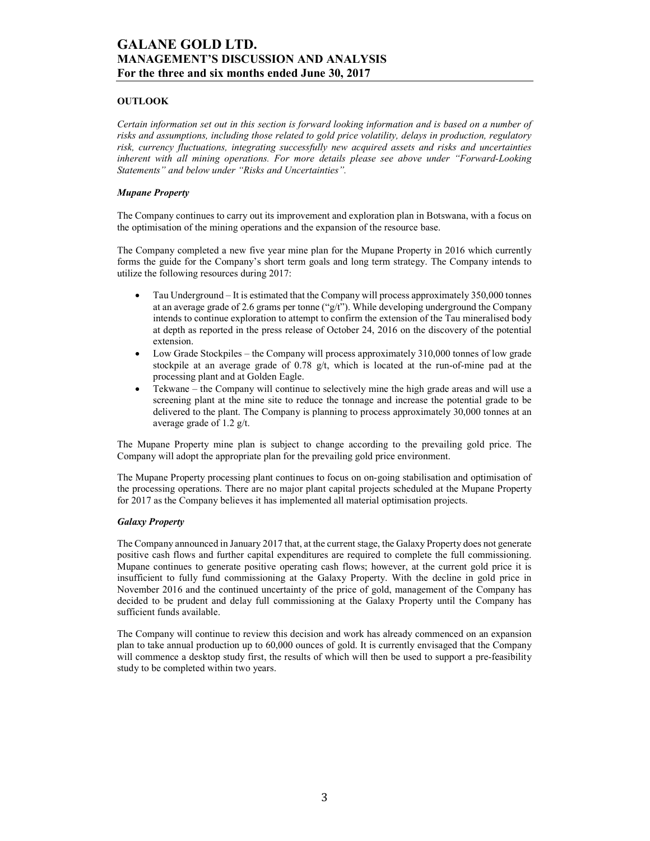## **OUTLOOK**

Certain information set out in this section is forward looking information and is based on a number of risks and assumptions, including those related to gold price volatility, delays in production, regulatory risk, currency fluctuations, integrating successfully new acquired assets and risks and uncertainties inherent with all mining operations. For more details please see above under "Forward-Looking Statements" and below under "Risks and Uncertainties".

#### Mupane Property

The Company continues to carry out its improvement and exploration plan in Botswana, with a focus on the optimisation of the mining operations and the expansion of the resource base.

The Company completed a new five year mine plan for the Mupane Property in 2016 which currently forms the guide for the Company's short term goals and long term strategy. The Company intends to utilize the following resources during 2017:

- Tau Underground It is estimated that the Company will process approximately 350,000 tonnes at an average grade of 2.6 grams per tonne ("g/t"). While developing underground the Company intends to continue exploration to attempt to confirm the extension of the Tau mineralised body at depth as reported in the press release of October 24, 2016 on the discovery of the potential extension.
- Low Grade Stockpiles the Company will process approximately 310,000 tonnes of low grade stockpile at an average grade of  $0.78 \frac{g}{t}$ , which is located at the run-of-mine pad at the processing plant and at Golden Eagle.
- Tekwane the Company will continue to selectively mine the high grade areas and will use a screening plant at the mine site to reduce the tonnage and increase the potential grade to be delivered to the plant. The Company is planning to process approximately 30,000 tonnes at an average grade of 1.2 g/t.

The Mupane Property mine plan is subject to change according to the prevailing gold price. The Company will adopt the appropriate plan for the prevailing gold price environment.

The Mupane Property processing plant continues to focus on on-going stabilisation and optimisation of the processing operations. There are no major plant capital projects scheduled at the Mupane Property for 2017 as the Company believes it has implemented all material optimisation projects.

### Galaxy Property

The Company announced in January 2017 that, at the current stage, the Galaxy Property does not generate positive cash flows and further capital expenditures are required to complete the full commissioning. Mupane continues to generate positive operating cash flows; however, at the current gold price it is insufficient to fully fund commissioning at the Galaxy Property. With the decline in gold price in November 2016 and the continued uncertainty of the price of gold, management of the Company has decided to be prudent and delay full commissioning at the Galaxy Property until the Company has sufficient funds available.

The Company will continue to review this decision and work has already commenced on an expansion plan to take annual production up to 60,000 ounces of gold. It is currently envisaged that the Company will commence a desktop study first, the results of which will then be used to support a pre-feasibility study to be completed within two years.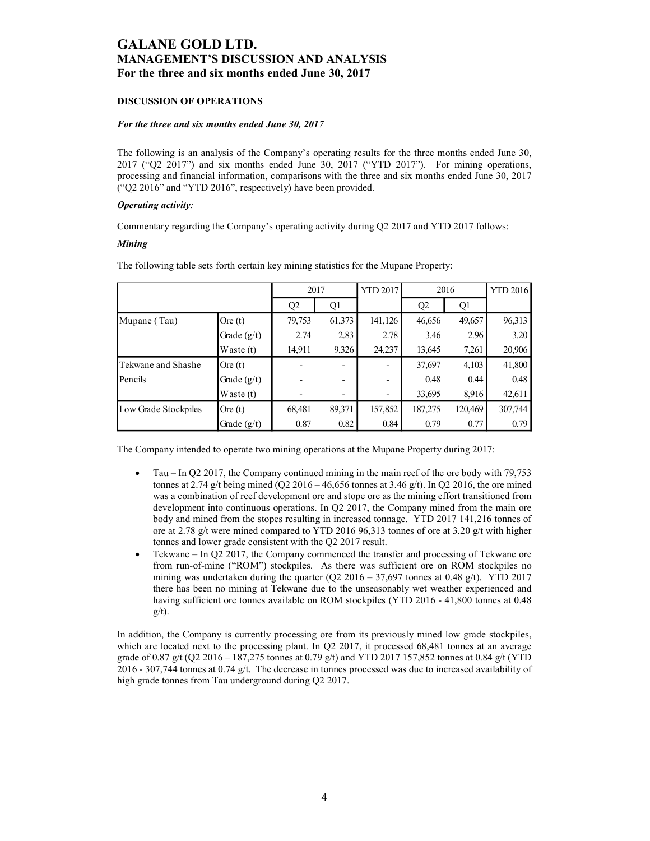#### DISCUSSION OF OPERATIONS

#### For the three and six months ended June 30, 2017

#### **Operating activity:**

#### Mining

|                                                                                                                                                                                                                                                                                                                                                                        | For the three and six months ended June 30, 2017 |              |              |                          |              |              |                 |
|------------------------------------------------------------------------------------------------------------------------------------------------------------------------------------------------------------------------------------------------------------------------------------------------------------------------------------------------------------------------|--------------------------------------------------|--------------|--------------|--------------------------|--------------|--------------|-----------------|
| <b>DISCUSSION OF OPERATIONS</b>                                                                                                                                                                                                                                                                                                                                        |                                                  |              |              |                          |              |              |                 |
| For the three and six months ended June 30, 2017                                                                                                                                                                                                                                                                                                                       |                                                  |              |              |                          |              |              |                 |
| The following is an analysis of the Company's operating results for the three months ended June 30,<br>2017 ("Q2 2017") and six months ended June 30, 2017 ("YTD 2017"). For mining operations,<br>processing and financial information, comparisons with the three and six months ended June 30, 2017<br>("Q2 2016" and "YTD 2016", respectively) have been provided. |                                                  |              |              |                          |              |              |                 |
| <b>Operating activity:</b>                                                                                                                                                                                                                                                                                                                                             |                                                  |              |              |                          |              |              |                 |
|                                                                                                                                                                                                                                                                                                                                                                        |                                                  |              |              |                          |              |              |                 |
| Commentary regarding the Company's operating activity during Q2 2017 and YTD 2017 follows:                                                                                                                                                                                                                                                                             |                                                  |              |              |                          |              |              |                 |
| <b>Mining</b>                                                                                                                                                                                                                                                                                                                                                          |                                                  |              |              |                          |              |              |                 |
| The following table sets forth certain key mining statistics for the Mupane Property:                                                                                                                                                                                                                                                                                  |                                                  |              |              |                          |              |              |                 |
|                                                                                                                                                                                                                                                                                                                                                                        |                                                  |              |              |                          |              |              |                 |
|                                                                                                                                                                                                                                                                                                                                                                        |                                                  | 2017         |              | <b>YTD 2017</b>          | 2016         |              | <b>YTD 2016</b> |
| Mupane (Tau)                                                                                                                                                                                                                                                                                                                                                           | Ore $(t)$                                        | Q2<br>79,753 | Q1<br>61,373 | 141,126                  | Q2<br>46,656 | Q1<br>49,657 | 96,313          |
|                                                                                                                                                                                                                                                                                                                                                                        | Grade $(g/t)$                                    | 2.74         | 2.83         | 2.78                     | 3.46         | 2.96         | 3.20            |
|                                                                                                                                                                                                                                                                                                                                                                        | Waste (t)                                        | 14,911       | 9,326        | 24,237                   | 13,645       | 7,261        | 20,906          |
| Tekwane and Shashe                                                                                                                                                                                                                                                                                                                                                     | Ore $(t)$                                        |              |              | $\overline{\phantom{0}}$ | 37,697       | 4,103        | 41,800          |
| Pencils                                                                                                                                                                                                                                                                                                                                                                | Grade $(g/t)$                                    |              |              | $\overline{\phantom{a}}$ | 0.48         | 0.44         | 0.48            |
|                                                                                                                                                                                                                                                                                                                                                                        | Waste (t)                                        |              |              | $\overline{\phantom{a}}$ | 33,695       | 8,916        | 42,611          |
| Low Grade Stockpiles                                                                                                                                                                                                                                                                                                                                                   | Ore $(t)$                                        | 68,481       | 89,371       | 157,852                  | 187,275      | 120,469      | 307,744         |

- Tau In Q2 2017, the Company continued mining in the main reef of the ore body with 79,753 tonnes at 2.74 g/t being mined (Q2 2016 – 46,656 tonnes at 3.46 g/t). In Q2 2016, the ore mined was a combination of reef development ore and stope ore as the mining effort transitioned from development into continuous operations. In Q2 2017, the Company mined from the main ore body and mined from the stopes resulting in increased tonnage. YTD 2017 141,216 tonnes of ore at 2.78 g/t were mined compared to YTD 2016 96,313 tonnes of ore at 3.20 g/t with higher tonnes and lower grade consistent with the Q2 2017 result.
- Tekwane In Q2 2017, the Company commenced the transfer and processing of Tekwane ore from run-of-mine ("ROM") stockpiles. As there was sufficient ore on ROM stockpiles no mining was undertaken during the quarter (Q2 2016 – 37,697 tonnes at 0.48 g/t). YTD 2017 there has been no mining at Tekwane due to the unseasonably wet weather experienced and having sufficient ore tonnes available on ROM stockpiles (YTD 2016 - 41,800 tonnes at 0.48)  $g/t$ ).

In addition, the Company is currently processing ore from its previously mined low grade stockpiles, which are located next to the processing plant. In Q2 2017, it processed 68,481 tonnes at an average grade of 0.87 g/t (Q2 2016 – 187,275 tonnes at 0.79 g/t) and YTD 2017 157,852 tonnes at 0.84 g/t (YTD 2016 - 307,744 tonnes at 0.74 g/t. The decrease in tonnes processed was due to increased availability of high grade tonnes from Tau underground during Q2 2017.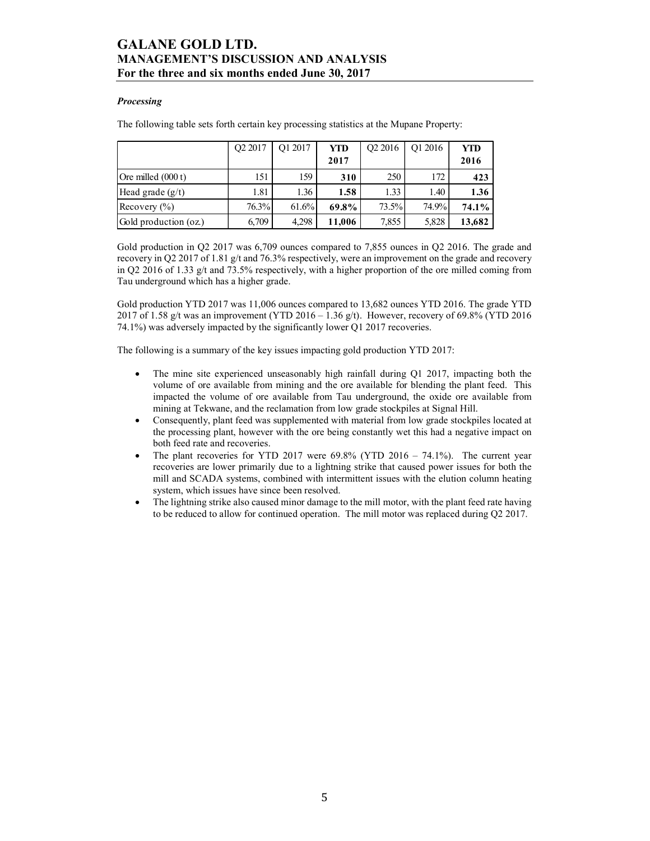### **Processing**

| <b>GALANE GOLD LTD.</b>                                                                  |         |         |            |                |         |            |
|------------------------------------------------------------------------------------------|---------|---------|------------|----------------|---------|------------|
| <b>MANAGEMENT'S DISCUSSION AND ANALYSIS</b>                                              |         |         |            |                |         |            |
| For the three and six months ended June 30, 2017                                         |         |         |            |                |         |            |
|                                                                                          |         |         |            |                |         |            |
| <b>Processing</b>                                                                        |         |         |            |                |         |            |
| The following table sets forth certain key processing statistics at the Mupane Property: |         |         |            |                |         |            |
|                                                                                          |         |         |            |                |         |            |
|                                                                                          |         |         |            |                |         |            |
|                                                                                          | Q2 2017 | Q1 2017 | <b>YTD</b> | Q2 2016        | Q1 2016 | <b>YTD</b> |
|                                                                                          |         |         | 2017       |                |         | 2016       |
| Ore milled (000 t)                                                                       | 151     | 159     | 310        | 250            | 172     | 423        |
| Head grade (g/t)                                                                         | 1.81    | 1.36    | 1.58       | 1.33           | 1.40    | 1.36       |
| Recovery (%)                                                                             | 76.3%   | 61.6%   | 69.8%      | 73.5%<br>7,855 | 74.9%   | 74.1%      |

Gold production YTD 2017 was 11,006 ounces compared to 13,682 ounces YTD 2016. The grade YTD 2017 of 1.58 g/t was an improvement (YTD 2016 – 1.36 g/t). However, recovery of 69.8% (YTD 2016 74.1%) was adversely impacted by the significantly lower Q1 2017 recoveries.

The following is a summary of the key issues impacting gold production YTD 2017:

- The mine site experienced unseasonably high rainfall during Q1 2017, impacting both the volume of ore available from mining and the ore available for blending the plant feed. This impacted the volume of ore available from Tau underground, the oxide ore available from mining at Tekwane, and the reclamation from low grade stockpiles at Signal Hill.
- Consequently, plant feed was supplemented with material from low grade stockpiles located at the processing plant, however with the ore being constantly wet this had a negative impact on both feed rate and recoveries.
- The plant recoveries for YTD 2017 were  $69.8\%$  (YTD 2016 74.1%). The current year recoveries are lower primarily due to a lightning strike that caused power issues for both the mill and SCADA systems, combined with intermittent issues with the elution column heating system, which issues have since been resolved.
- The lightning strike also caused minor damage to the mill motor, with the plant feed rate having to be reduced to allow for continued operation. The mill motor was replaced during Q2 2017.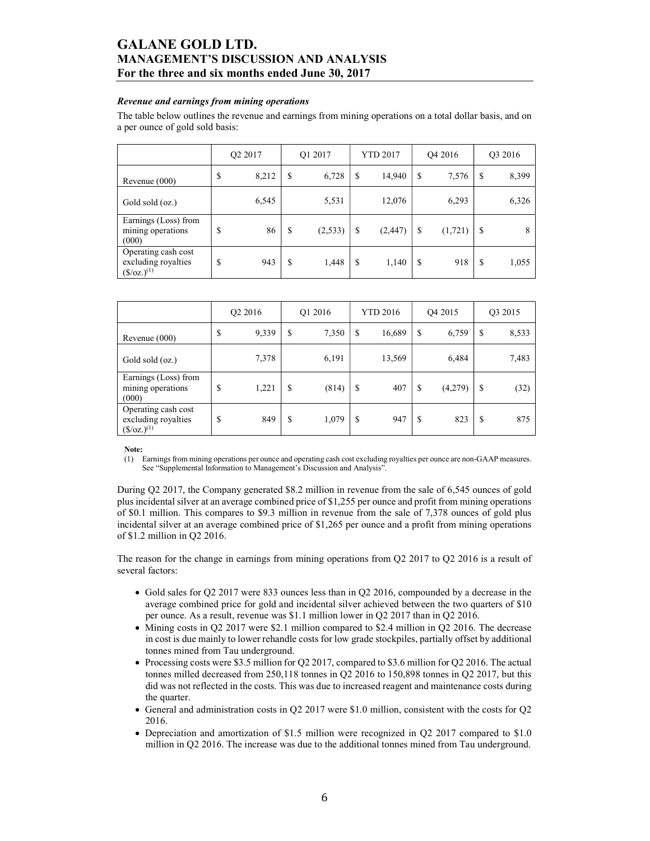#### Revenue and earnings from mining operations

The table below outlines the revenue and earnings from mining operations on a total dollar basis, and on a per ounce of gold sold basis:

|                                                                  | Q <sub>2</sub> 2017 |       | O1 2017       |    | YTD 2017 | O <sub>4</sub> 2016 |          | Q3 2016 |       |
|------------------------------------------------------------------|---------------------|-------|---------------|----|----------|---------------------|----------|---------|-------|
| Revenue $(000)$                                                  | \$                  | 8,212 | \$<br>6,728   | \$ | 14,940   | S                   | 7,576    | S       | 8,399 |
| Gold sold (oz.)                                                  |                     | 6,545 | 5,531         |    | 12,076   |                     | 6,293    |         | 6,326 |
| Earnings (Loss) from<br>mining operations<br>(000)               | \$                  | 86    | \$<br>(2,533) | \$ | (2, 447) | \$                  | (1, 721) | S       | 8     |
| Operating cash cost<br>excluding royalties<br>$({\S}/oz.)^{(1)}$ | \$                  | 943   | \$<br>1,448   | \$ | 1,140    | S                   | 918      | S       | 1,055 |

|                                                                           | Q2 2016 |       | O <sub>1</sub> 2016 |       | <b>YTD 2016</b> |        | O <sub>4</sub> 2015 |         | O3 2015 |       |
|---------------------------------------------------------------------------|---------|-------|---------------------|-------|-----------------|--------|---------------------|---------|---------|-------|
| Revenue (000)                                                             | \$      | 9,339 | S                   | 7,350 | \$              | 16,689 | \$                  | 6,759   | S       | 8,533 |
| Gold sold (oz.)                                                           |         | 7,378 |                     | 6,191 |                 | 13,569 |                     | 6,484   |         | 7,483 |
| Earnings (Loss) from<br>mining operations<br>(000)                        | S       | 1,221 | \$                  | (814) | \$              | 407    | \$                  | (4,279) | S       | (32)  |
| Operating cash cost<br>excluding royalties<br>$(\frac{\csc(1)}{2})^{(1)}$ | S       | 849   | S                   | 1,079 | \$              | 947    | \$                  | 823     | S       | 875   |

Note:

(1) Earnings from mining operations per ounce and operating cash cost excluding royalties per ounce are non-GAAP measures. See "Supplemental Information to Management's Discussion and Analysis".

During Q2 2017, the Company generated \$8.2 million in revenue from the sale of 6,545 ounces of gold plus incidental silver at an average combined price of \$1,255 per ounce and profit from mining operations of \$0.1 million. This compares to \$9.3 million in revenue from the sale of 7,378 ounces of gold plus incidental silver at an average combined price of \$1,265 per ounce and a profit from mining operations of \$1.2 million in Q2 2016.

The reason for the change in earnings from mining operations from Q2 2017 to Q2 2016 is a result of several factors:

- Gold sales for Q2 2017 were 833 ounces less than in Q2 2016, compounded by a decrease in the average combined price for gold and incidental silver achieved between the two quarters of \$10 per ounce. As a result, revenue was \$1.1 million lower in Q2 2017 than in Q2 2016.
- $\bullet$  Mining costs in Q2 2017 were \$2.1 million compared to \$2.4 million in Q2 2016. The decrease in cost is due mainly to lower rehandle costs for low grade stockpiles, partially offset by additional tonnes mined from Tau underground.
- Processing costs were \$3.5 million for Q2 2017, compared to \$3.6 million for Q2 2016. The actual tonnes milled decreased from 250,118 tonnes in Q2 2016 to 150,898 tonnes in Q2 2017, but this did was not reflected in the costs. This was due to increased reagent and maintenance costs during the quarter.
- General and administration costs in Q2 2017 were \$1.0 million, consistent with the costs for Q2 2016.
- Depreciation and amortization of \$1.5 million were recognized in Q2 2017 compared to \$1.0 million in Q2 2016. The increase was due to the additional tonnes mined from Tau underground.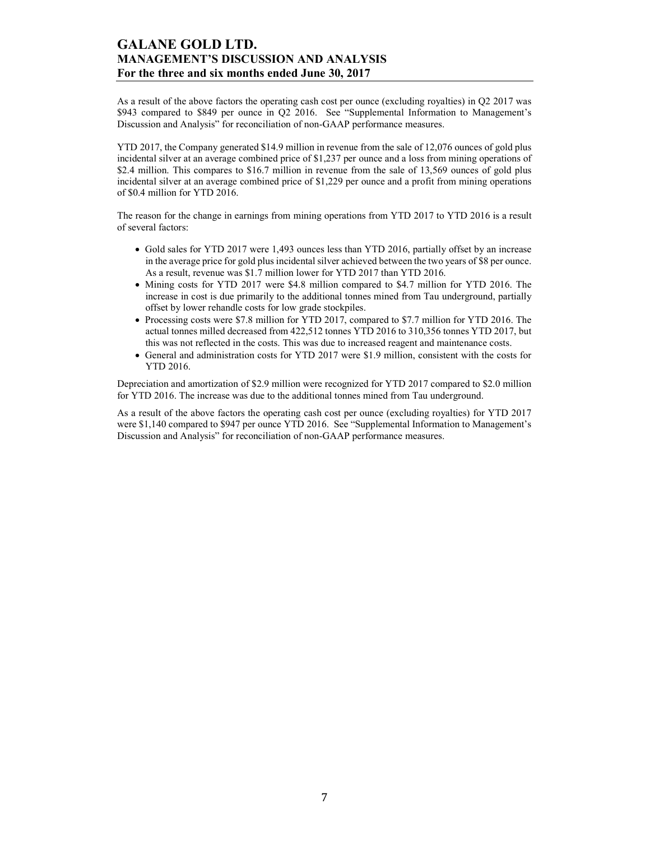As a result of the above factors the operating cash cost per ounce (excluding royalties) in Q2 2017 was \$943 compared to \$849 per ounce in Q2 2016. See "Supplemental Information to Management's Discussion and Analysis" for reconciliation of non-GAAP performance measures.

YTD 2017, the Company generated \$14.9 million in revenue from the sale of 12,076 ounces of gold plus incidental silver at an average combined price of \$1,237 per ounce and a loss from mining operations of \$2.4 million. This compares to \$16.7 million in revenue from the sale of 13,569 ounces of gold plus incidental silver at an average combined price of \$1,229 per ounce and a profit from mining operations of \$0.4 million for YTD 2016.

The reason for the change in earnings from mining operations from YTD 2017 to YTD 2016 is a result of several factors:

- Gold sales for YTD 2017 were 1,493 ounces less than YTD 2016, partially offset by an increase in the average price for gold plus incidental silver achieved between the two years of \$8 per ounce. As a result, revenue was \$1.7 million lower for YTD 2017 than YTD 2016.
- Mining costs for YTD 2017 were \$4.8 million compared to \$4.7 million for YTD 2016. The increase in cost is due primarily to the additional tonnes mined from Tau underground, partially offset by lower rehandle costs for low grade stockpiles.
- Processing costs were \$7.8 million for YTD 2017, compared to \$7.7 million for YTD 2016. The actual tonnes milled decreased from 422,512 tonnes YTD 2016 to 310,356 tonnes YTD 2017, but this was not reflected in the costs. This was due to increased reagent and maintenance costs.
- General and administration costs for YTD 2017 were \$1.9 million, consistent with the costs for YTD 2016.

Depreciation and amortization of \$2.9 million were recognized for YTD 2017 compared to \$2.0 million for YTD 2016. The increase was due to the additional tonnes mined from Tau underground.

As a result of the above factors the operating cash cost per ounce (excluding royalties) for YTD 2017 were \$1,140 compared to \$947 per ounce YTD 2016. See "Supplemental Information to Management's Discussion and Analysis" for reconciliation of non-GAAP performance measures.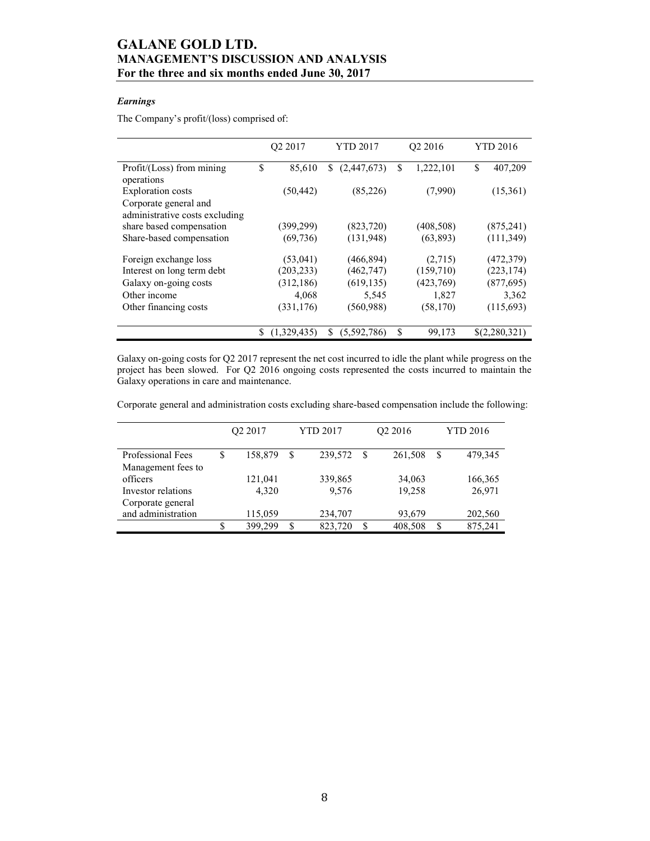## Earnings

The Company's profit/(loss) comprised of:

|                                                         | O <sub>2</sub> 2017 | <b>YTD 2017</b>   | Q2 2016          | <b>YTD 2016</b> |
|---------------------------------------------------------|---------------------|-------------------|------------------|-----------------|
| Profit/(Loss) from mining<br>operations                 | \$<br>85,610        | S.<br>(2,447,673) | \$.<br>1,222,101 | S<br>407,209    |
| <b>Exploration</b> costs                                | (50, 442)           | (85,226)          | (7,990)          | (15,361)        |
| Corporate general and<br>administrative costs excluding |                     |                   |                  |                 |
| share based compensation                                | (399,299)           | (823, 720)        | (408, 508)       | (875, 241)      |
| Share-based compensation                                | (69, 736)           | (131, 948)        | (63, 893)        | (111, 349)      |
| Foreign exchange loss                                   | (53,041)            | (466, 894)        | (2,715)          | (472, 379)      |
| Interest on long term debt                              | (203, 233)          | (462, 747)        | (159,710)        | (223, 174)      |
| Galaxy on-going costs                                   | (312, 186)          | (619, 135)        | (423,769)        | (877, 695)      |
| Other income                                            | 4,068               | 5,545             | 1,827            | 3,362           |
| Other financing costs                                   | (331, 176)          | (560,988)         | (58, 170)        | (115,693)       |
|                                                         | (1,329,435)         | \$<br>(5,592,786) | S<br>99,173      | \$(2,280,321)   |

Galaxy on-going costs for Q2 2017 represent the net cost incurred to idle the plant while progress on the project has been slowed. For Q2 2016 ongoing costs represented the costs incurred to maintain the Galaxy operations in care and maintenance.

Corporate general and administration costs excluding share-based compensation include the following:

|                    | Q2 2017 |         |   | <b>YTD 2017</b> | Q <sub>2</sub> 2016 |         |   | <b>YTD 2016</b> |  |  |
|--------------------|---------|---------|---|-----------------|---------------------|---------|---|-----------------|--|--|
| Professional Fees  | S       | 158,879 | S | 239,572         | -S                  | 261,508 | S | 479,345         |  |  |
| Management fees to |         |         |   |                 |                     |         |   |                 |  |  |
| officers           |         | 121,041 |   | 339,865         |                     | 34,063  |   | 166,365         |  |  |
| Investor relations |         | 4.320   |   | 9,576           |                     | 19,258  |   | 26,971          |  |  |
| Corporate general  |         |         |   |                 |                     |         |   |                 |  |  |
| and administration |         | 115,059 |   | 234,707         |                     | 93,679  |   | 202,560         |  |  |
|                    | S       | 399,299 | S | 823,720         | S                   | 408,508 | S | 875,241         |  |  |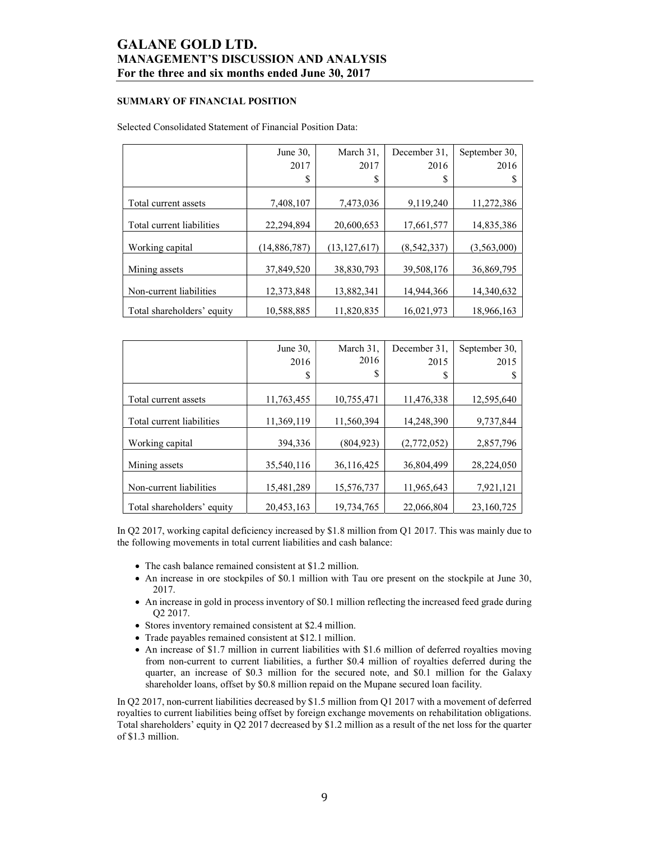### SUMMARY OF FINANCIAL POSITION

#### Selected Consolidated Statement of Financial Position Data:

|                            | June 30,     | March 31,      | December 31. | September 30, |
|----------------------------|--------------|----------------|--------------|---------------|
|                            | 2017         | 2017           | 2016         | 2016          |
|                            | \$           | S              | S            |               |
|                            |              |                |              |               |
| Total current assets       | 7,408,107    | 7,473,036      | 9,119,240    | 11,272,386    |
| Total current liabilities  | 22,294,894   | 20,600,653     | 17,661,577   | 14,835,386    |
| Working capital            | (14,886,787) | (13, 127, 617) | (8,542,337)  | (3,563,000)   |
| Mining assets              | 37,849,520   | 38,830,793     | 39,508,176   | 36,869,795    |
| Non-current liabilities    | 12,373,848   | 13,882,341     | 14,944,366   | 14,340,632    |
| Total shareholders' equity | 10,588,885   | 11,820,835     | 16,021,973   | 18,966,163    |

|                            | June 30,<br>2016 | March 31,<br>2016 | December 31,<br>2015 | September 30,<br>2015 |
|----------------------------|------------------|-------------------|----------------------|-----------------------|
|                            | \$               | S                 | \$                   |                       |
| Total current assets       | 11,763,455       | 10,755,471        | 11,476,338           | 12,595,640            |
| Total current liabilities  | 11,369,119       | 11,560,394        | 14,248,390           | 9,737,844             |
| Working capital            | 394.336          | (804, 923)        | (2,772,052)          | 2,857,796             |
| Mining assets              | 35,540,116       | 36,116,425        | 36,804,499           | 28,224,050            |
| Non-current liabilities    | 15,481,289       | 15,576,737        | 11,965,643           | 7,921,121             |
| Total shareholders' equity | 20,453,163       | 19,734,765        | 22,066,804           | 23,160,725            |

In Q2 2017, working capital deficiency increased by \$1.8 million from Q1 2017. This was mainly due to the following movements in total current liabilities and cash balance:

- The cash balance remained consistent at \$1.2 million.
- An increase in ore stockpiles of \$0.1 million with Tau ore present on the stockpile at June 30, 2017.
- An increase in gold in process inventory of \$0.1 million reflecting the increased feed grade during Q2 2017.
- Stores inventory remained consistent at \$2.4 million.
- Trade payables remained consistent at \$12.1 million.
- An increase of \$1.7 million in current liabilities with \$1.6 million of deferred royalties moving from non-current to current liabilities, a further \$0.4 million of royalties deferred during the quarter, an increase of \$0.3 million for the secured note, and \$0.1 million for the Galaxy shareholder loans, offset by \$0.8 million repaid on the Mupane secured loan facility.

In Q2 2017, non-current liabilities decreased by \$1.5 million from Q1 2017 with a movement of deferred royalties to current liabilities being offset by foreign exchange movements on rehabilitation obligations. Total shareholders' equity in Q2 2017 decreased by \$1.2 million as a result of the net loss for the quarter of \$1.3 million.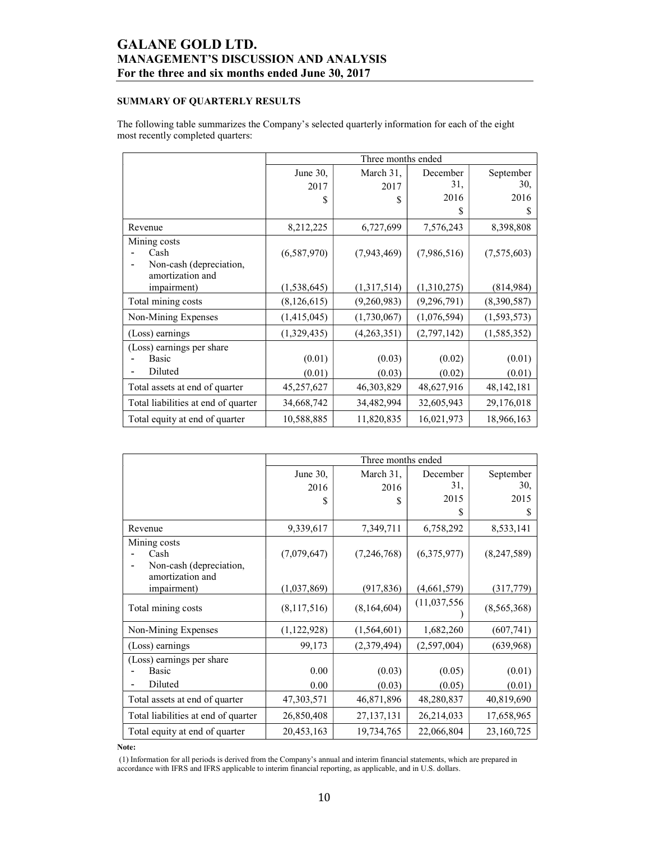## SUMMARY OF QUARTERLY RESULTS

The following table summarizes the Company's selected quarterly information for each of the eight most recently completed quarters:

|                                     |               | Three months ended |               |               |
|-------------------------------------|---------------|--------------------|---------------|---------------|
|                                     | June 30,      | March 31,          | December      | September     |
|                                     | 2017          | 2017               | 31,           | 30,           |
|                                     | S             | \$                 | 2016          | 2016          |
|                                     |               |                    | S             | S             |
| Revenue                             | 8,212,225     | 6,727,699          | 7,576,243     | 8,398,808     |
| Mining costs                        |               |                    |               |               |
| Cash                                | (6,587,970)   | (7,943,469)        | (7,986,516)   | (7,575,603)   |
| Non-cash (depreciation,             |               |                    |               |               |
| amortization and                    |               |                    |               |               |
| <i>impairment</i> )                 | (1, 538, 645) | (1,317,514)        | (1,310,275)   | (814,984)     |
| Total mining costs                  | (8, 126, 615) | (9,260,983)        | (9, 296, 791) | (8,390,587)   |
| Non-Mining Expenses                 | (1,415,045)   | (1,730,067)        | (1,076,594)   | (1, 593, 573) |
| (Loss) earnings                     | (1,329,435)   | (4,263,351)        | (2,797,142)   | (1, 585, 352) |
| (Loss) earnings per share           |               |                    |               |               |
| Basic                               | (0.01)        | (0.03)             | (0.02)        | (0.01)        |
| Diluted                             | (0.01)        | (0.03)             | (0.02)        | (0.01)        |
| Total assets at end of quarter      | 45,257,627    | 46, 303, 829       | 48,627,916    | 48, 142, 181  |
| Total liabilities at end of quarter | 34,668,742    | 34,482,994         | 32,605,943    | 29,176,018    |
| Total equity at end of quarter      | 10,588,885    | 11,820,835         | 16,021,973    | 18,966,163    |

|                                     |             | Three months ended |              |             |
|-------------------------------------|-------------|--------------------|--------------|-------------|
|                                     | June 30,    | March 31,          | December     | September   |
|                                     | 2016        | 2016               | 31,          | 30,         |
|                                     | \$          | S                  | 2015         | 2015        |
|                                     |             |                    | S            | S           |
| Revenue                             | 9,339,617   | 7,349,711          | 6,758,292    | 8,533,141   |
| Mining costs                        |             |                    |              |             |
| Cash                                | (7,079,647) | (7,246,768)        | (6,375,977)  | (8,247,589) |
| Non-cash (depreciation,             |             |                    |              |             |
| amortization and                    |             |                    |              |             |
| impairment)                         | (1,037,869) | (917, 836)         | (4,661,579)  | (317, 779)  |
| Total mining costs                  | (8,117,516) | (8,164,604)        | (11,037,556) | (8,565,368) |
| Non-Mining Expenses                 | (1,122,928) | (1,564,601)        | 1,682,260    | (607,741)   |
| (Loss) earnings                     | 99,173      | (2,379,494)        | (2,597,004)  | (639,968)   |
| (Loss) earnings per share           |             |                    |              |             |
| <b>Basic</b>                        | 0.00        | (0.03)             | (0.05)       | (0.01)      |
| Diluted                             | 0.00        | (0.03)             | (0.05)       | (0.01)      |
| Total assets at end of quarter      | 47,303,571  | 46,871,896         | 48,280,837   | 40,819,690  |
| Total liabilities at end of quarter | 26,850,408  | 27, 137, 131       | 26,214,033   | 17,658,965  |
| Total equity at end of quarter      | 20,453,163  | 19,734,765         | 22,066,804   | 23,160,725  |

Note:

 (1) Information for all periods is derived from the Company's annual and interim financial statements, which are prepared in accordance with IFRS and IFRS applicable to interim financial reporting, as applicable, and in U.S. dollars.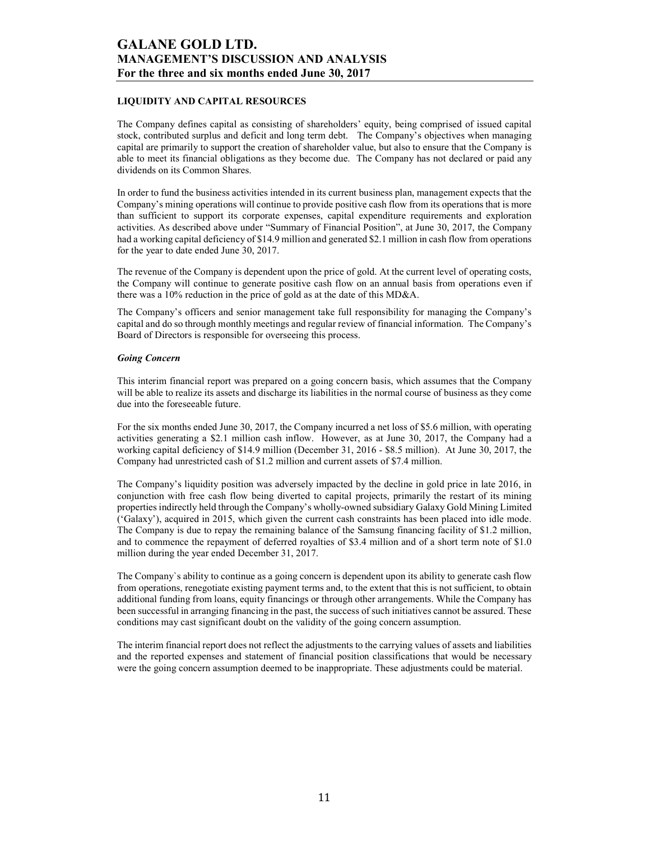### LIQUIDITY AND CAPITAL RESOURCES

The Company defines capital as consisting of shareholders' equity, being comprised of issued capital stock, contributed surplus and deficit and long term debt. The Company's objectives when managing capital are primarily to support the creation of shareholder value, but also to ensure that the Company is able to meet its financial obligations as they become due. The Company has not declared or paid any dividends on its Common Shares.

In order to fund the business activities intended in its current business plan, management expects that the Company's mining operations will continue to provide positive cash flow from its operations that is more than sufficient to support its corporate expenses, capital expenditure requirements and exploration activities. As described above under "Summary of Financial Position", at June 30, 2017, the Company had a working capital deficiency of \$14.9 million and generated \$2.1 million in cash flow from operations for the year to date ended June 30, 2017.

The revenue of the Company is dependent upon the price of gold. At the current level of operating costs, the Company will continue to generate positive cash flow on an annual basis from operations even if there was a 10% reduction in the price of gold as at the date of this MD&A.

The Company's officers and senior management take full responsibility for managing the Company's capital and do so through monthly meetings and regular review of financial information. The Company's Board of Directors is responsible for overseeing this process.

#### Going Concern

This interim financial report was prepared on a going concern basis, which assumes that the Company will be able to realize its assets and discharge its liabilities in the normal course of business as they come due into the foreseeable future.

For the six months ended June 30, 2017, the Company incurred a net loss of \$5.6 million, with operating activities generating a \$2.1 million cash inflow. However, as at June 30, 2017, the Company had a working capital deficiency of \$14.9 million (December 31, 2016 - \$8.5 million). At June 30, 2017, the Company had unrestricted cash of \$1.2 million and current assets of \$7.4 million.

The Company's liquidity position was adversely impacted by the decline in gold price in late 2016, in conjunction with free cash flow being diverted to capital projects, primarily the restart of its mining properties indirectly held through the Company's wholly-owned subsidiary Galaxy Gold Mining Limited ('Galaxy'), acquired in 2015, which given the current cash constraints has been placed into idle mode. The Company is due to repay the remaining balance of the Samsung financing facility of \$1.2 million, and to commence the repayment of deferred royalties of \$3.4 million and of a short term note of \$1.0 million during the year ended December 31, 2017.

The Company`s ability to continue as a going concern is dependent upon its ability to generate cash flow from operations, renegotiate existing payment terms and, to the extent that this is not sufficient, to obtain additional funding from loans, equity financings or through other arrangements. While the Company has been successful in arranging financing in the past, the success of such initiatives cannot be assured. These conditions may cast significant doubt on the validity of the going concern assumption.

The interim financial report does not reflect the adjustments to the carrying values of assets and liabilities and the reported expenses and statement of financial position classifications that would be necessary were the going concern assumption deemed to be inappropriate. These adjustments could be material.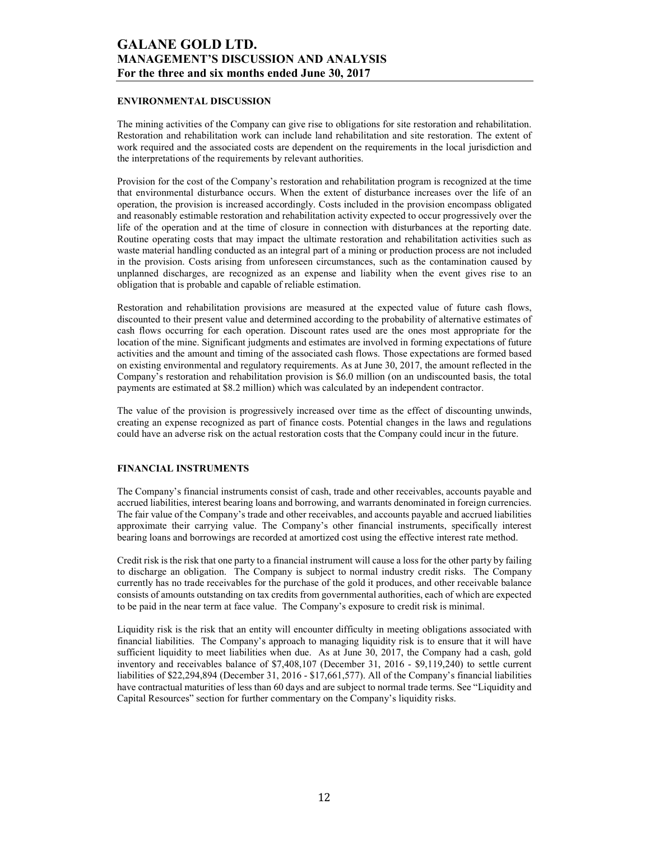### ENVIRONMENTAL DISCUSSION

The mining activities of the Company can give rise to obligations for site restoration and rehabilitation. Restoration and rehabilitation work can include land rehabilitation and site restoration. The extent of work required and the associated costs are dependent on the requirements in the local jurisdiction and the interpretations of the requirements by relevant authorities.

Provision for the cost of the Company's restoration and rehabilitation program is recognized at the time that environmental disturbance occurs. When the extent of disturbance increases over the life of an operation, the provision is increased accordingly. Costs included in the provision encompass obligated and reasonably estimable restoration and rehabilitation activity expected to occur progressively over the life of the operation and at the time of closure in connection with disturbances at the reporting date. Routine operating costs that may impact the ultimate restoration and rehabilitation activities such as waste material handling conducted as an integral part of a mining or production process are not included in the provision. Costs arising from unforeseen circumstances, such as the contamination caused by unplanned discharges, are recognized as an expense and liability when the event gives rise to an obligation that is probable and capable of reliable estimation.

Restoration and rehabilitation provisions are measured at the expected value of future cash flows, discounted to their present value and determined according to the probability of alternative estimates of cash flows occurring for each operation. Discount rates used are the ones most appropriate for the location of the mine. Significant judgments and estimates are involved in forming expectations of future activities and the amount and timing of the associated cash flows. Those expectations are formed based on existing environmental and regulatory requirements. As at June 30, 2017, the amount reflected in the Company's restoration and rehabilitation provision is \$6.0 million (on an undiscounted basis, the total payments are estimated at \$8.2 million) which was calculated by an independent contractor.

The value of the provision is progressively increased over time as the effect of discounting unwinds, creating an expense recognized as part of finance costs. Potential changes in the laws and regulations could have an adverse risk on the actual restoration costs that the Company could incur in the future.

### FINANCIAL INSTRUMENTS

The Company's financial instruments consist of cash, trade and other receivables, accounts payable and accrued liabilities, interest bearing loans and borrowing, and warrants denominated in foreign currencies. The fair value of the Company's trade and other receivables, and accounts payable and accrued liabilities approximate their carrying value. The Company's other financial instruments, specifically interest bearing loans and borrowings are recorded at amortized cost using the effective interest rate method.

Credit risk is the risk that one party to a financial instrument will cause a loss for the other party by failing to discharge an obligation. The Company is subject to normal industry credit risks. The Company currently has no trade receivables for the purchase of the gold it produces, and other receivable balance consists of amounts outstanding on tax credits from governmental authorities, each of which are expected to be paid in the near term at face value. The Company's exposure to credit risk is minimal.

Liquidity risk is the risk that an entity will encounter difficulty in meeting obligations associated with financial liabilities. The Company's approach to managing liquidity risk is to ensure that it will have sufficient liquidity to meet liabilities when due. As at June 30, 2017, the Company had a cash, gold inventory and receivables balance of \$7,408,107 (December 31, 2016 - \$9,119,240) to settle current liabilities of \$22,294,894 (December 31, 2016 - \$17,661,577). All of the Company's financial liabilities have contractual maturities of less than 60 days and are subject to normal trade terms. See "Liquidity and Capital Resources" section for further commentary on the Company's liquidity risks.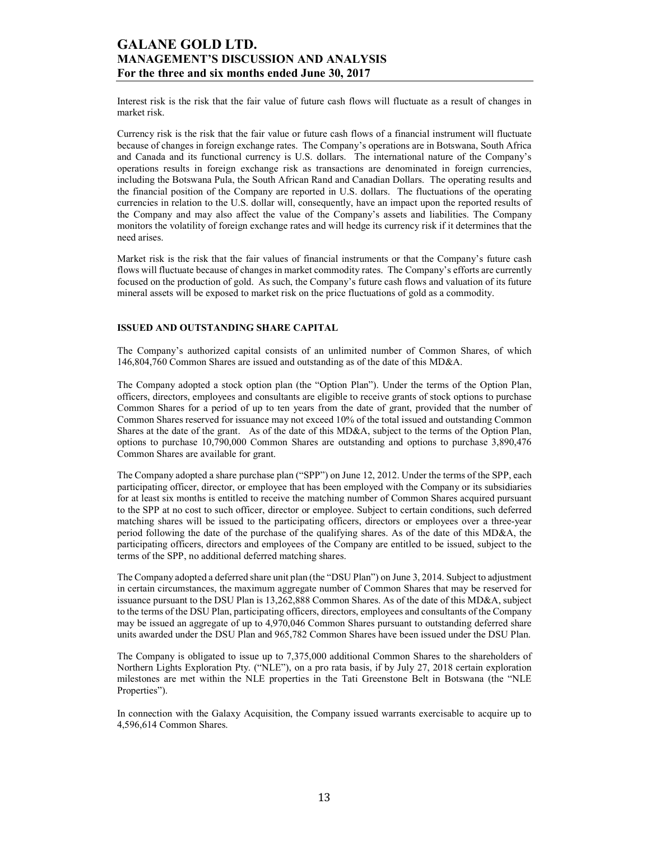Interest risk is the risk that the fair value of future cash flows will fluctuate as a result of changes in market risk.

Currency risk is the risk that the fair value or future cash flows of a financial instrument will fluctuate because of changes in foreign exchange rates. The Company's operations are in Botswana, South Africa and Canada and its functional currency is U.S. dollars. The international nature of the Company's operations results in foreign exchange risk as transactions are denominated in foreign currencies, including the Botswana Pula, the South African Rand and Canadian Dollars. The operating results and the financial position of the Company are reported in U.S. dollars. The fluctuations of the operating currencies in relation to the U.S. dollar will, consequently, have an impact upon the reported results of the Company and may also affect the value of the Company's assets and liabilities. The Company monitors the volatility of foreign exchange rates and will hedge its currency risk if it determines that the need arises.

Market risk is the risk that the fair values of financial instruments or that the Company's future cash flows will fluctuate because of changes in market commodity rates. The Company's efforts are currently focused on the production of gold. As such, the Company's future cash flows and valuation of its future mineral assets will be exposed to market risk on the price fluctuations of gold as a commodity.

#### ISSUED AND OUTSTANDING SHARE CAPITAL

The Company's authorized capital consists of an unlimited number of Common Shares, of which 146,804,760 Common Shares are issued and outstanding as of the date of this MD&A.

The Company adopted a stock option plan (the "Option Plan"). Under the terms of the Option Plan, officers, directors, employees and consultants are eligible to receive grants of stock options to purchase Common Shares for a period of up to ten years from the date of grant, provided that the number of Common Shares reserved for issuance may not exceed 10% of the total issued and outstanding Common Shares at the date of the grant. As of the date of this MD&A, subject to the terms of the Option Plan, options to purchase 10,790,000 Common Shares are outstanding and options to purchase 3,890,476 Common Shares are available for grant.

The Company adopted a share purchase plan ("SPP") on June 12, 2012. Under the terms of the SPP, each participating officer, director, or employee that has been employed with the Company or its subsidiaries for at least six months is entitled to receive the matching number of Common Shares acquired pursuant to the SPP at no cost to such officer, director or employee. Subject to certain conditions, such deferred matching shares will be issued to the participating officers, directors or employees over a three-year period following the date of the purchase of the qualifying shares. As of the date of this MD&A, the participating officers, directors and employees of the Company are entitled to be issued, subject to the terms of the SPP, no additional deferred matching shares.

The Company adopted a deferred share unit plan (the "DSU Plan") on June 3, 2014. Subject to adjustment in certain circumstances, the maximum aggregate number of Common Shares that may be reserved for issuance pursuant to the DSU Plan is 13,262,888 Common Shares. As of the date of this MD&A, subject to the terms of the DSU Plan, participating officers, directors, employees and consultants of the Company may be issued an aggregate of up to 4,970,046 Common Shares pursuant to outstanding deferred share units awarded under the DSU Plan and 965,782 Common Shares have been issued under the DSU Plan.

The Company is obligated to issue up to 7,375,000 additional Common Shares to the shareholders of Northern Lights Exploration Pty. ("NLE"), on a pro rata basis, if by July 27, 2018 certain exploration milestones are met within the NLE properties in the Tati Greenstone Belt in Botswana (the "NLE Properties").

In connection with the Galaxy Acquisition, the Company issued warrants exercisable to acquire up to 4,596,614 Common Shares.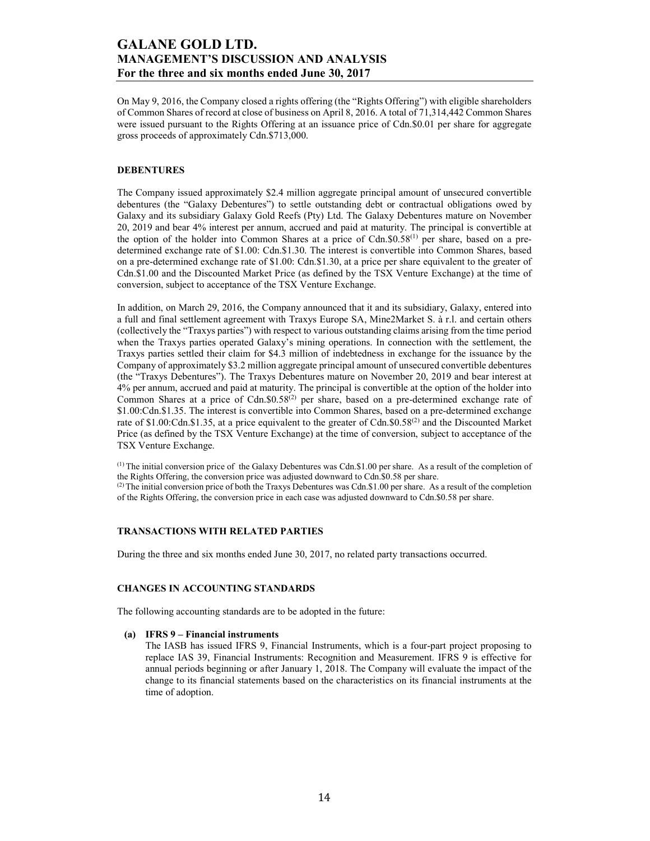On May 9, 2016, the Company closed a rights offering (the "Rights Offering") with eligible shareholders of Common Shares of record at close of business on April 8, 2016. A total of 71,314,442 Common Shares were issued pursuant to the Rights Offering at an issuance price of Cdn.\$0.01 per share for aggregate gross proceeds of approximately Cdn.\$713,000.

#### DEBENTURES

The Company issued approximately \$2.4 million aggregate principal amount of unsecured convertible debentures (the "Galaxy Debentures") to settle outstanding debt or contractual obligations owed by Galaxy and its subsidiary Galaxy Gold Reefs (Pty) Ltd. The Galaxy Debentures mature on November 20, 2019 and bear 4% interest per annum, accrued and paid at maturity. The principal is convertible at the option of the holder into Common Shares at a price of  $Cdn.S0.S8<sup>(1)</sup>$  per share, based on a predetermined exchange rate of \$1.00: Cdn.\$1.30. The interest is convertible into Common Shares, based on a pre-determined exchange rate of \$1.00: Cdn.\$1.30, at a price per share equivalent to the greater of Cdn.\$1.00 and the Discounted Market Price (as defined by the TSX Venture Exchange) at the time of conversion, subject to acceptance of the TSX Venture Exchange.

In addition, on March 29, 2016, the Company announced that it and its subsidiary, Galaxy, entered into a full and final settlement agreement with Traxys Europe SA, Mine2Market S. à r.l. and certain others (collectively the "Traxys parties") with respect to various outstanding claims arising from the time period when the Traxys parties operated Galaxy's mining operations. In connection with the settlement, the Traxys parties settled their claim for \$4.3 million of indebtedness in exchange for the issuance by the Company of approximately \$3.2 million aggregate principal amount of unsecured convertible debentures (the "Traxys Debentures"). The Traxys Debentures mature on November 20, 2019 and bear interest at 4% per annum, accrued and paid at maturity. The principal is convertible at the option of the holder into Common Shares at a price of Cdn.\$0.58<sup>(2)</sup> per share, based on a pre-determined exchange rate of \$1.00:Cdn.\$1.35. The interest is convertible into Common Shares, based on a pre-determined exchange rate of \$1.00:Cdn.\$1.35, at a price equivalent to the greater of Cdn.\$0.58<sup>(2)</sup> and the Discounted Market Price (as defined by the TSX Venture Exchange) at the time of conversion, subject to acceptance of the TSX Venture Exchange.

 $<sup>(1)</sup>$  The initial conversion price of the Galaxy Debentures was Cdn.\$1.00 per share. As a result of the completion of</sup> the Rights Offering, the conversion price was adjusted downward to Cdn.\$0.58 per share. (2) The initial conversion price of both the Traxys Debentures was Cdn.\$1.00 per share. As a result of the completion of the Rights Offering, the conversion price in each case was adjusted downward to Cdn.\$0.58 per share.

### TRANSACTIONS WITH RELATED PARTIES

During the three and six months ended June 30, 2017, no related party transactions occurred.

#### CHANGES IN ACCOUNTING STANDARDS

The following accounting standards are to be adopted in the future:

#### (a) IFRS 9 – Financial instruments

The IASB has issued IFRS 9, Financial Instruments, which is a four-part project proposing to replace IAS 39, Financial Instruments: Recognition and Measurement. IFRS 9 is effective for annual periods beginning or after January 1, 2018. The Company will evaluate the impact of the change to its financial statements based on the characteristics on its financial instruments at the time of adoption.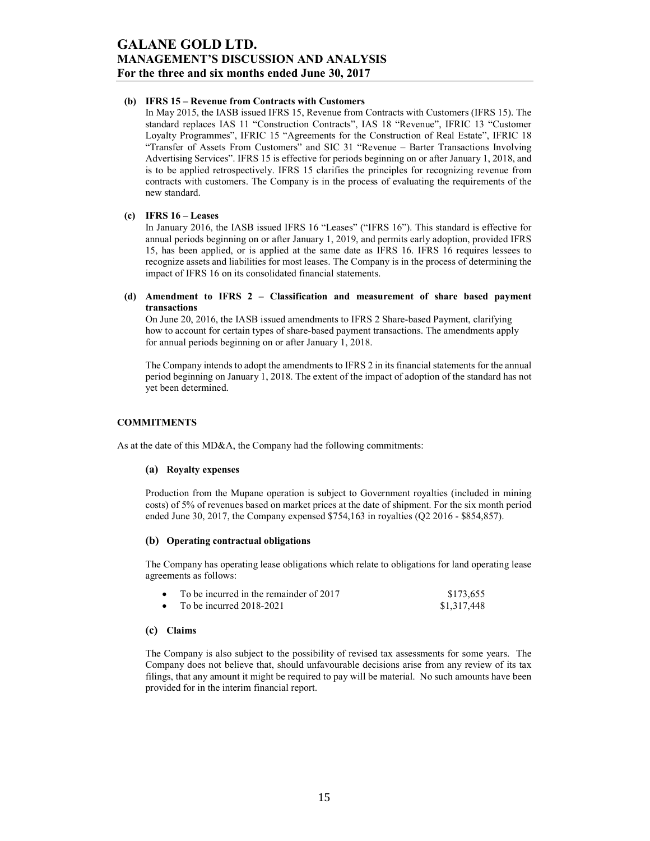#### (b) IFRS 15 – Revenue from Contracts with Customers

In May 2015, the IASB issued IFRS 15, Revenue from Contracts with Customers (IFRS 15). The standard replaces IAS 11 "Construction Contracts", IAS 18 "Revenue", IFRIC 13 "Customer Loyalty Programmes", IFRIC 15 "Agreements for the Construction of Real Estate", IFRIC 18 "Transfer of Assets From Customers" and SIC 31 "Revenue – Barter Transactions Involving Advertising Services". IFRS 15 is effective for periods beginning on or after January 1, 2018, and is to be applied retrospectively. IFRS 15 clarifies the principles for recognizing revenue from contracts with customers. The Company is in the process of evaluating the requirements of the new standard.

#### (c) IFRS 16 – Leases

In January 2016, the IASB issued IFRS 16 "Leases" ("IFRS 16"). This standard is effective for annual periods beginning on or after January 1, 2019, and permits early adoption, provided IFRS 15, has been applied, or is applied at the same date as IFRS 16. IFRS 16 requires lessees to recognize assets and liabilities for most leases. The Company is in the process of determining the impact of IFRS 16 on its consolidated financial statements.

#### (d) Amendment to IFRS 2 – Classification and measurement of share based payment transactions

On June 20, 2016, the IASB issued amendments to IFRS 2 Share-based Payment, clarifying how to account for certain types of share-based payment transactions. The amendments apply for annual periods beginning on or after January 1, 2018.

The Company intends to adopt the amendments to IFRS 2 in its financial statements for the annual period beginning on January 1, 2018. The extent of the impact of adoption of the standard has not yet been determined.

### COMMITMENTS

As at the date of this MD&A, the Company had the following commitments:

### (a) Royalty expenses

Production from the Mupane operation is subject to Government royalties (included in mining costs) of 5% of revenues based on market prices at the date of shipment. For the six month period ended June 30, 2017, the Company expensed \$754,163 in royalties (Q2 2016 - \$854,857).

### (b) Operating contractual obligations

The Company has operating lease obligations which relate to obligations for land operating lease agreements as follows:

| To be incurred in the remainder of 2017 | \$173,655   |
|-----------------------------------------|-------------|
| To be incurred $2018-2021$              | \$1,317,448 |

### (c) Claims

The Company is also subject to the possibility of revised tax assessments for some years. The Company does not believe that, should unfavourable decisions arise from any review of its tax filings, that any amount it might be required to pay will be material. No such amounts have been provided for in the interim financial report.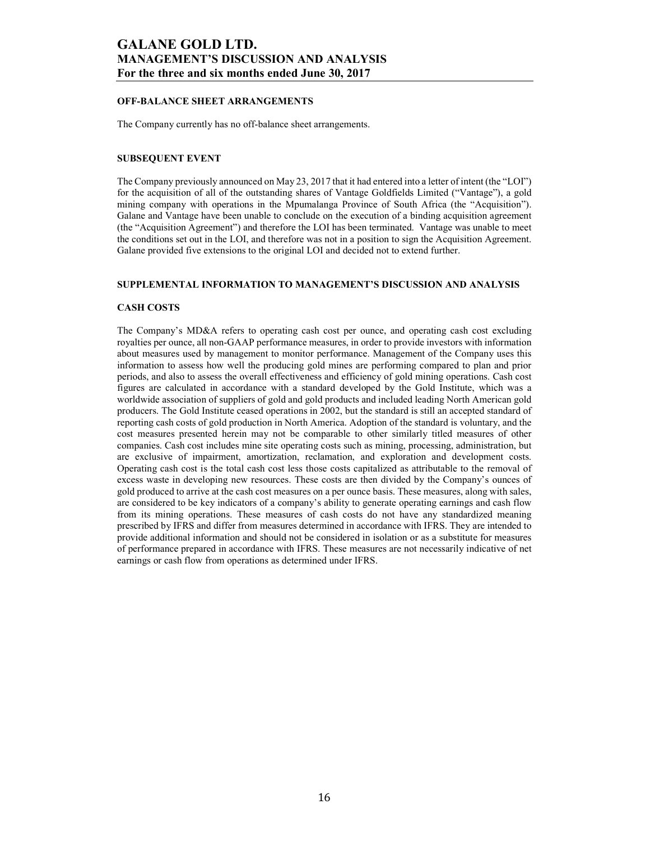### OFF-BALANCE SHEET ARRANGEMENTS

The Company currently has no off-balance sheet arrangements.

### SUBSEQUENT EVENT

The Company previously announced on May 23, 2017 that it had entered into a letter of intent (the "LOI") for the acquisition of all of the outstanding shares of Vantage Goldfields Limited ("Vantage"), a gold mining company with operations in the Mpumalanga Province of South Africa (the "Acquisition"). Galane and Vantage have been unable to conclude on the execution of a binding acquisition agreement (the "Acquisition Agreement") and therefore the LOI has been terminated. Vantage was unable to meet the conditions set out in the LOI, and therefore was not in a position to sign the Acquisition Agreement. Galane provided five extensions to the original LOI and decided not to extend further.

#### SUPPLEMENTAL INFORMATION TO MANAGEMENT'S DISCUSSION AND ANALYSIS

#### CASH COSTS

The Company's MD&A refers to operating cash cost per ounce, and operating cash cost excluding royalties per ounce, all non-GAAP performance measures, in order to provide investors with information about measures used by management to monitor performance. Management of the Company uses this information to assess how well the producing gold mines are performing compared to plan and prior periods, and also to assess the overall effectiveness and efficiency of gold mining operations. Cash cost figures are calculated in accordance with a standard developed by the Gold Institute, which was a worldwide association of suppliers of gold and gold products and included leading North American gold producers. The Gold Institute ceased operations in 2002, but the standard is still an accepted standard of reporting cash costs of gold production in North America. Adoption of the standard is voluntary, and the cost measures presented herein may not be comparable to other similarly titled measures of other companies. Cash cost includes mine site operating costs such as mining, processing, administration, but are exclusive of impairment, amortization, reclamation, and exploration and development costs. Operating cash cost is the total cash cost less those costs capitalized as attributable to the removal of excess waste in developing new resources. These costs are then divided by the Company's ounces of gold produced to arrive at the cash cost measures on a per ounce basis. These measures, along with sales, are considered to be key indicators of a company's ability to generate operating earnings and cash flow from its mining operations. These measures of cash costs do not have any standardized meaning prescribed by IFRS and differ from measures determined in accordance with IFRS. They are intended to provide additional information and should not be considered in isolation or as a substitute for measures of performance prepared in accordance with IFRS. These measures are not necessarily indicative of net earnings or cash flow from operations as determined under IFRS.